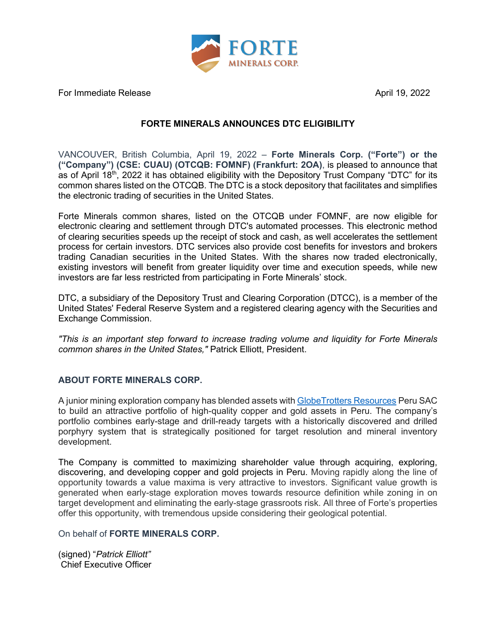

For Immediate Release April 19, 2022

## **FORTE MINERALS ANNOUNCES DTC ELIGIBILITY**

VANCOUVER, British Columbia, April 19, 2022 – **Forte Minerals Corp. ("Forte") or the ("Company") (CSE: CUAU) (OTCQB: FOMNF) (Frankfurt: 2OA)**, is pleased to announce that as of April 18<sup>th</sup>, 2022 it has obtained eligibility with the Depository Trust Company "DTC" for its common shares listed on the OTCQB. The DTC is a stock depository that facilitates and simplifies the electronic trading of securities in the United States.

Forte Minerals common shares, listed on the OTCQB under FOMNF, are now eligible for electronic clearing and settlement through DTC's automated processes. This electronic method of clearing securities speeds up the receipt of stock and cash, as well accelerates the settlement process for certain investors. DTC services also provide cost benefits for investors and brokers trading Canadian securities in the United States. With the shares now traded electronically, existing investors will benefit from greater liquidity over time and execution speeds, while new investors are far less restricted from participating in Forte Minerals' stock.

DTC, a subsidiary of the Depository Trust and Clearing Corporation (DTCC), is a member of the United States' Federal Reserve System and a registered clearing agency with the Securities and Exchange Commission.

*"This is an important step forward to increase trading volume and liquidity for Forte Minerals common shares in the United States,"* Patrick Elliott, President.

## **ABOUT FORTE MINERALS CORP.**

A junior mining exploration company has blended assets with [GlobeTrotters Resources](http://www.globetrottersresources.ca/) Peru SAC to build an attractive portfolio of high-quality copper and gold assets in Peru. The company's portfolio combines early-stage and drill-ready targets with a historically discovered and drilled porphyry system that is strategically positioned for target resolution and mineral inventory development.

The Company is committed to maximizing shareholder value through acquiring, exploring, discovering, and developing copper and gold projects in Peru. Moving rapidly along the line of opportunity towards a value maxima is very attractive to investors. Significant value growth is generated when early-stage exploration moves towards resource definition while zoning in on target development and eliminating the early-stage grassroots risk. All three of Forte's properties offer this opportunity, with tremendous upside considering their geological potential.

On behalf of **FORTE MINERALS CORP.**

(signed) "*Patrick Elliott"* Chief Executive Officer